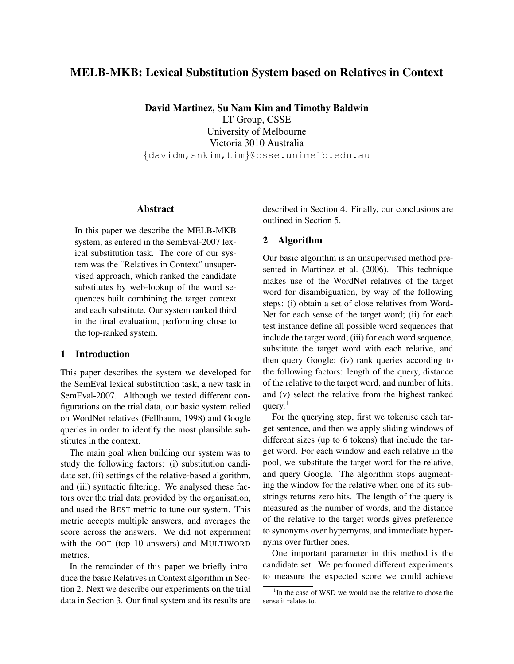# MELB-MKB: Lexical Substitution System based on Relatives in Context

David Martinez, Su Nam Kim and Timothy Baldwin LT Group, CSSE University of Melbourne Victoria 3010 Australia *{*davidm,snkim,tim*}*@csse.unimelb.edu.au

### **Abstract**

In this paper we describe the MELB-MKB system, as entered in the SemEval-2007 lexical substitution task. The core of our system was the "Relatives in Context" unsupervised approach, which ranked the candidate substitutes by web-lookup of the word sequences built combining the target context and each substitute. Our system ranked third in the final evaluation, performing close to the top-ranked system.

### 1 Introduction

This paper describes the system we developed for the SemEval lexical substitution task, a new task in SemEval-2007. Although we tested different configurations on the trial data, our basic system relied on WordNet relatives (Fellbaum, 1998) and Google queries in order to identify the most plausible substitutes in the context.

The main goal when building our system was to study the following factors: (i) substitution candidate set, (ii) settings of the relative-based algorithm, and (iii) syntactic filtering. We analysed these factors over the trial data provided by the organisation, and used the BEST metric to tune our system. This metric accepts multiple answers, and averages the score across the answers. We did not experiment with the OOT (top 10 answers) and MULTIWORD metrics.

In the remainder of this paper we briefly introduce the basic Relatives in Context algorithm in Section 2. Next we describe our experiments on the trial data in Section 3. Our final system and its results are described in Section 4. Finally, our conclusions are outlined in Section 5.

### 2 Algorithm

Our basic algorithm is an unsupervised method presented in Martinez et al. (2006). This technique makes use of the WordNet relatives of the target word for disambiguation, by way of the following steps: (i) obtain a set of close relatives from Word-Net for each sense of the target word; (ii) for each test instance define all possible word sequences that include the target word; (iii) for each word sequence, substitute the target word with each relative, and then query Google; (iv) rank queries according to the following factors: length of the query, distance of the relative to the target word, and number of hits; and (v) select the relative from the highest ranked query. $1$ 

For the querying step, first we tokenise each target sentence, and then we apply sliding windows of different sizes (up to 6 tokens) that include the target word. For each window and each relative in the pool, we substitute the target word for the relative, and query Google. The algorithm stops augmenting the window for the relative when one of its substrings returns zero hits. The length of the query is measured as the number of words, and the distance of the relative to the target words gives preference to synonyms over hypernyms, and immediate hypernyms over further ones.

One important parameter in this method is the candidate set. We performed different experiments to measure the expected score we could achieve

<sup>&</sup>lt;sup>1</sup>In the case of WSD we would use the relative to chose the sense it relates to.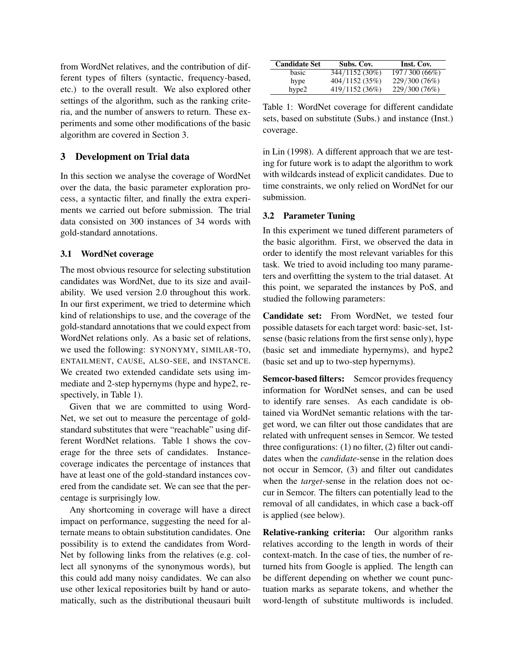from WordNet relatives, and the contribution of different types of filters (syntactic, frequency-based, etc.) to the overall result. We also explored other settings of the algorithm, such as the ranking criteria, and the number of answers to return. These experiments and some other modifications of the basic algorithm are covered in Section 3.

## 3 Development on Trial data

In this section we analyse the coverage of WordNet over the data, the basic parameter exploration process, a syntactic filter, and finally the extra experiments we carried out before submission. The trial data consisted on 300 instances of 34 words with gold-standard annotations.

### 3.1 WordNet coverage

The most obvious resource for selecting substitution candidates was WordNet, due to its size and availability. We used version 2.0 throughout this work. In our first experiment, we tried to determine which kind of relationships to use, and the coverage of the gold-standard annotations that we could expect from WordNet relations only. As a basic set of relations, we used the following: SYNONYMY, SIMILAR-TO, ENTAILMENT, CAUSE, ALSO-SEE, and INSTANCE. We created two extended candidate sets using immediate and 2-step hypernyms (hype and hype2, respectively, in Table 1).

Given that we are committed to using Word-Net, we set out to measure the percentage of goldstandard substitutes that were "reachable" using different WordNet relations. Table 1 shows the coverage for the three sets of candidates. Instancecoverage indicates the percentage of instances that have at least one of the gold-standard instances covered from the candidate set. We can see that the percentage is surprisingly low.

Any shortcoming in coverage will have a direct impact on performance, suggesting the need for alternate means to obtain substitution candidates. One possibility is to extend the candidates from Word-Net by following links from the relatives (e.g. collect all synonyms of the synonymous words), but this could add many noisy candidates. We can also use other lexical repositories built by hand or automatically, such as the distributional theusauri built

| <b>Candidate Set</b> | Subs. Cov.     | Inst. Cov.    |  |
|----------------------|----------------|---------------|--|
| basic                | 344/1152 (30%) | 197/300 (66%) |  |
| hype                 | 404/1152 (35%) | 229/300 (76%) |  |
| hype2                | 419/1152 (36%) | 229/300 (76%) |  |

Table 1: WordNet coverage for different candidate sets, based on substitute (Subs.) and instance (Inst.) coverage.

in Lin (1998). A different approach that we are testing for future work is to adapt the algorithm to work with wildcards instead of explicit candidates. Due to time constraints, we only relied on WordNet for our submission.

## 3.2 Parameter Tuning

In this experiment we tuned different parameters of the basic algorithm. First, we observed the data in order to identify the most relevant variables for this task. We tried to avoid including too many parameters and overfitting the system to the trial dataset. At this point, we separated the instances by PoS, and studied the following parameters:

Candidate set: From WordNet, we tested four possible datasets for each target word: basic-set, 1stsense (basic relations from the first sense only), hype (basic set and immediate hypernyms), and hype2 (basic set and up to two-step hypernyms).

Semcor-based filters: Semcor provides frequency information for WordNet senses, and can be used to identify rare senses. As each candidate is obtained via WordNet semantic relations with the target word, we can filter out those candidates that are related with unfrequent senses in Semcor. We tested three configurations: (1) no filter, (2) filter out candidates when the *candidate*-sense in the relation does not occur in Semcor, (3) and filter out candidates when the *target*-sense in the relation does not occur in Semcor. The filters can potentially lead to the removal of all candidates, in which case a back-off is applied (see below).

Relative-ranking criteria: Our algorithm ranks relatives according to the length in words of their context-match. In the case of ties, the number of returned hits from Google is applied. The length can be different depending on whether we count punctuation marks as separate tokens, and whether the word-length of substitute multiwords is included.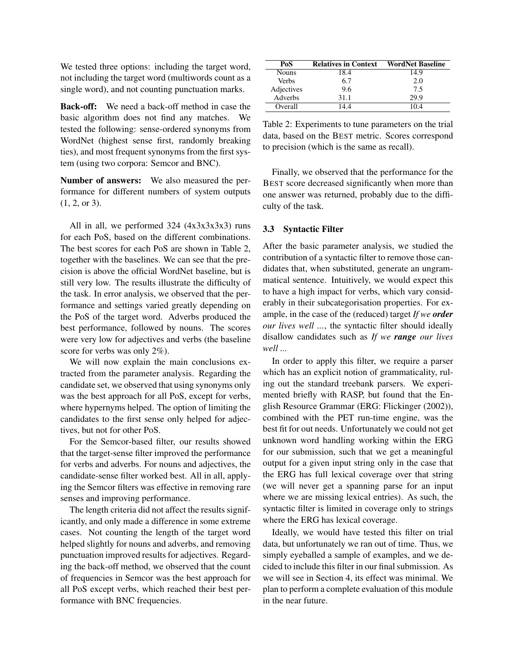We tested three options: including the target word, not including the target word (multiwords count as a single word), and not counting punctuation marks.

Back-off: We need a back-off method in case the basic algorithm does not find any matches. We tested the following: sense-ordered synonyms from WordNet (highest sense first, randomly breaking ties), and most frequent synonyms from the first system (using two corpora: Semcor and BNC).

Number of answers: We also measured the performance for different numbers of system outputs (1, 2, or 3).

All in all, we performed  $324$  ( $4x3x3x3x3$ ) runs for each PoS, based on the different combinations. The best scores for each PoS are shown in Table 2, together with the baselines. We can see that the precision is above the official WordNet baseline, but is still very low. The results illustrate the difficulty of the task. In error analysis, we observed that the performance and settings varied greatly depending on the PoS of the target word. Adverbs produced the best performance, followed by nouns. The scores were very low for adjectives and verbs (the baseline score for verbs was only 2%).

We will now explain the main conclusions extracted from the parameter analysis. Regarding the candidate set, we observed that using synonyms only was the best approach for all PoS, except for verbs, where hypernyms helped. The option of limiting the candidates to the first sense only helped for adjectives, but not for other PoS.

For the Semcor-based filter, our results showed that the target-sense filter improved the performance for verbs and adverbs. For nouns and adjectives, the candidate-sense filter worked best. All in all, applying the Semcor filters was effective in removing rare senses and improving performance.

The length criteria did not affect the results significantly, and only made a difference in some extreme cases. Not counting the length of the target word helped slightly for nouns and adverbs, and removing punctuation improved results for adjectives. Regarding the back-off method, we observed that the count of frequencies in Semcor was the best approach for all PoS except verbs, which reached their best performance with BNC frequencies.

| PoS        | <b>Relatives in Context</b> | <b>WordNet Baseline</b> |
|------------|-----------------------------|-------------------------|
| Nouns      | 18.4                        | 14.9                    |
| Verbs      | 6.7                         | 2.0                     |
| Adjectives | 9.6                         | 7.5                     |
| Adverbs    | 31.1                        | 29.9                    |
| Overall    | 44                          | 104                     |

Table 2: Experiments to tune parameters on the trial data, based on the BEST metric. Scores correspond to precision (which is the same as recall).

Finally, we observed that the performance for the BEST score decreased significantly when more than one answer was returned, probably due to the difficulty of the task.

#### 3.3 Syntactic Filter

After the basic parameter analysis, we studied the contribution of a syntactic filter to remove those candidates that, when substituted, generate an ungrammatical sentence. Intuitively, we would expect this to have a high impact for verbs, which vary considerably in their subcategorisation properties. For example, in the case of the (reduced) target *If we order our lives well ...*, the syntactic filter should ideally disallow candidates such as *If we range our lives well ...*

In order to apply this filter, we require a parser which has an explicit notion of grammaticality, ruling out the standard treebank parsers. We experimented briefly with RASP, but found that the English Resource Grammar (ERG: Flickinger (2002)), combined with the PET run-time engine, was the best fit for out needs. Unfortunately we could not get unknown word handling working within the ERG for our submission, such that we get a meaningful output for a given input string only in the case that the ERG has full lexical coverage over that string (we will never get a spanning parse for an input where we are missing lexical entries). As such, the syntactic filter is limited in coverage only to strings where the ERG has lexical coverage.

Ideally, we would have tested this filter on trial data, but unfortunately we ran out of time. Thus, we simply eyeballed a sample of examples, and we decided to include this filter in our final submission. As we will see in Section 4, its effect was minimal. We plan to perform a complete evaluation of this module in the near future.